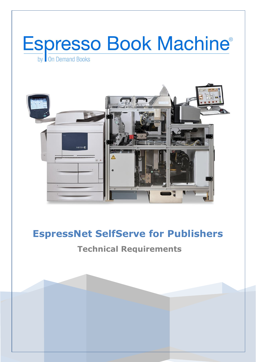



# **EspressNet SelfServe for Publishers**

## **Technical Requirements**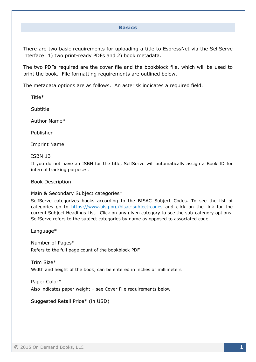#### **Basics**

There are two basic requirements for uploading a title to EspressNet via the SelfServe interface: 1) two print-ready PDFs and 2) book metadata.

The two PDFs required are the cover file and the bookblock file, which will be used to print the book. File formatting requirements are outlined below.

The metadata options are as follows. An asterisk indicates a required field.

Title\*

Subtitle

Author Name\*

Publisher

Imprint Name

#### ISBN 13

If you do not have an ISBN for the title, SelfServe will automatically assign a Book ID for internal tracking purposes.

Book Description

Main & Secondary Subject categories\*

SelfServe categorizes books according to the BISAC Subject Codes. To see the list of categories go to <https://www.bisg.org/bisac-subject-codes> and click on the link for the current Subject Headings List. Click on any given category to see the sub-category options. SelfServe refers to the subject categories by name as opposed to associated code.

Language\*

Number of Pages\* Refers to the full page count of the bookblock PDF

Trim Size\* Width and height of the book, can be entered in inches or millimeters

Paper Color\* Also indicates paper weight – see Cover File requirements below

Suggested Retail Price\* (in USD)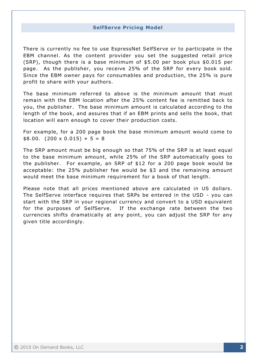#### **SelfServe Pricing Model**

There is currently no fee to use EspressNet SelfServe or to participate in the EBM channel. As the content provider you set the suggested retail price (SRP), though there is a base minimum of \$5.00 per book plus \$0.015 per page. As the publisher, you receive 25% of the SRP for every book sold. Since the EBM owner pays for consumables and production, the 25% is pure profit to share with your authors.

The base minimum referred to above is the minimum amount that must remain with the EBM location after the 25% content fee is remitted back to you, the publisher. The base minimum amount is calculated according to the length of the book, and assures that if an EBM prints and sells the book, that location will earn enough to cover their production costs.

For example, for a 200 page book the base minimum amount would come to  $$8.00. (200 \times 0.015) + 5 = 8$ 

The SRP amount must be big enough so that 75% of the SRP is at least equal to the base minimum amount, while 25% of the SRP automatically goes to the publisher. For example, an SRP of \$12 for a 200 page book would be acceptable: the 25% publisher fee would be \$3 and the remaining amount would meet the base minimum requirement for a book of that length.

Please note that all prices mentioned above are calculated in US dollars. The SelfServe interface requires that SRPs be entered in the USD - you can start with the SRP in your regional currency and convert to a USD equivalent for the purposes of SelfServe. If the exchange rate between the two currencies shifts dramatically at any point, you can adjust the SRP for any given title accordingly.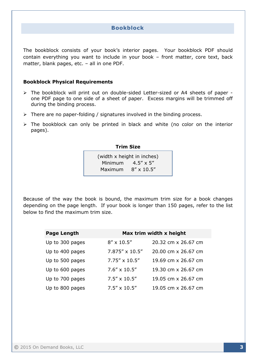## **Bookblock**

The bookblock consists of your book's interior pages. Your bookblock PDF should contain everything you want to include in your book – front matter, core text, back matter, blank pages, etc. – all in one PDF.

#### **Bookblock Physical Requirements**

- $\triangleright$  The bookblock will print out on double-sided Letter-sized or A4 sheets of paper one PDF page to one side of a sheet of paper. Excess margins will be trimmed off during the binding process.
- $\triangleright$  There are no paper-folding / signatures involved in the binding process.
- $\triangleright$  The bookblock can only be printed in black and white (no color on the interior pages).

#### **Trim Size**

| (width x height in inches) |                     |  |
|----------------------------|---------------------|--|
| Minimum                    | $4.5'' \times 5''$  |  |
| Maximum                    | $8'' \times 10.5''$ |  |

Because of the way the book is bound, the maximum trim size for a book changes depending on the page length. If your book is longer than 150 pages, refer to the list below to find the maximum trim size.

| <b>Page Length</b> | Max trim width x height |                     |
|--------------------|-------------------------|---------------------|
| Up to 300 pages    | $8'' \times 10.5''$     | 20.32 cm x 26.67 cm |
| Up to 400 pages    | $7.875'' \times 10.5''$ | 20.00 cm x 26.67 cm |
| Up to 500 pages    | 7.75" x 10.5"           | 19.69 cm x 26.67 cm |
| Up to 600 pages    | $7.6'' \times 10.5''$   | 19.30 cm x 26.67 cm |
| Up to 700 pages    | $7.5'' \times 10.5''$   | 19.05 cm x 26.67 cm |
| Up to 800 pages    | $7.5'' \times 10.5''$   | 19.05 cm x 26.67 cm |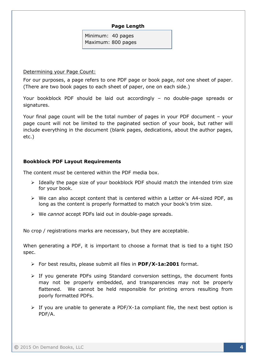## **Page Length**

Minimum: 40 pages Maximum: 800 pages

Determining your Page Count:

For our purposes, a page refers to one PDF page or book page, *not* one sheet of paper. (There are two book pages to each sheet of paper, one on each side.)

Your bookblock PDF should be laid out accordingly – no double-page spreads or signatures.

Your final page count will be the total number of pages in your PDF document – your page count will not be limited to the paginated section of your book, but rather will include everything in the document (blank pages, dedications, about the author pages, etc.)

## **Bookblock PDF Layout Requirements**

The content *must* be centered within the PDF media box.

- $\triangleright$  Ideally the page size of your bookblock PDF should match the intended trim size for your book.
- $\triangleright$  We can also accept content that is centered within a Letter or A4-sized PDF, as long as the content is properly formatted to match your book's trim size.
- We *cannot* accept PDFs laid out in double-page spreads.

No crop / registrations marks are necessary, but they are acceptable.

When generating a PDF, it is important to choose a format that is tied to a tight ISO spec.

- For best results, please submit all files in **PDF/X-1a:2001** format.
- $\triangleright$  If you generate PDFs using Standard conversion settings, the document fonts may not be properly embedded, and transparencies may not be properly flattened. We cannot be held responsible for printing errors resulting from poorly formatted PDFs.
- $\triangleright$  If you are unable to generate a PDF/X-1a compliant file, the next best option is PDF/A.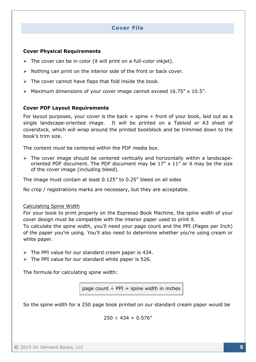## **Cover File**

## **Cover Physical Requirements**

- $\triangleright$  The cover can be in color (it will print on a full-color inkjet).
- $\triangleright$  Nothing can print on the interior side of the front or back cover.
- $\triangleright$  The cover cannot have flaps that fold inside the book.
- $\triangleright$  Maximum dimensions of your cover image cannot exceed 16.75" x 10.5".

### **Cover PDF Layout Requirements**

For layout purposes, your cover is the back  $+$  spine  $+$  front of your book, laid out as a single landscape-oriented image. It will be printed on a Tabloid or A3 sheet of coverstock, which will wrap around the printed bookblock and be trimmed down to the book's trim size.

The content *must* be centered within the PDF media box.

 $\triangleright$  The cover image should be centered vertically and horizontally within a landscapeoriented PDF document. The PDF document may be  $17'' \times 11''$  or it may be the size of the cover image (including bleed).

The image must contain at least 0.125" to 0.25" bleed on all sides

No crop / registrations marks are necessary, but they are acceptable.

#### Calculating Spine Width

For your book to print properly on the Espresso Book Machine, the spine width of your cover design must be compatible with the interior paper used to print it.

To calculate the spine width, you'll need your page count and the PPI (Pages per Inch) of the paper you're using. You'll also need to determine whether you're using cream or white paper.

- $\triangleright$  The PPI value for our standard cream paper is 434.
- $\triangleright$  The PPI value for our standard white paper is 526.

The formula for calculating spine width:

page count  $\div$  PPI = spine width in inches

So the spine width for a 250 page book printed on our standard cream paper would be

 $250 \div 434 = 0.576''$